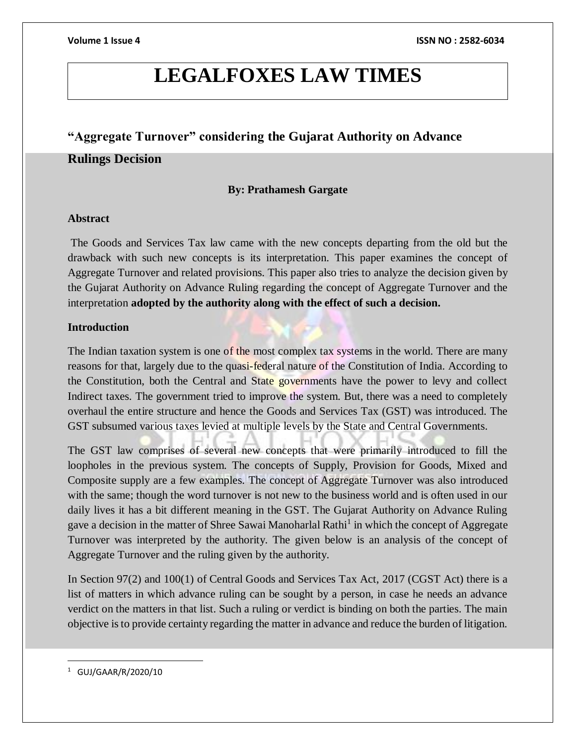# **LEGALFOXES LAW TIMES**

## **"Aggregate Turnover" considering the Gujarat Authority on Advance**

### **Rulings Decision**

### **By: Prathamesh Gargate**

### **Abstract**

The Goods and Services Tax law came with the new concepts departing from the old but the drawback with such new concepts is its interpretation. This paper examines the concept of Aggregate Turnover and related provisions. This paper also tries to analyze the decision given by the Gujarat Authority on Advance Ruling regarding the concept of Aggregate Turnover and the interpretation **adopted by the authority along with the effect of such a decision.**

### **Introduction**

The Indian taxation system is one of the most complex tax systems in the world. There are many reasons for that, largely due to the quasi-federal nature of the Constitution of India. According to the Constitution, both the Central and State governments have the power to levy and collect Indirect taxes. The government tried to improve the system. But, there was a need to completely overhaul the entire structure and hence the Goods and Services Tax (GST) was introduced. The GST subsumed various taxes levied at multiple levels by the State and Central Governments.

The GST law comprises of several new concepts that were primarily introduced to fill the loopholes in the previous system. The concepts of Supply, Provision for Goods, Mixed and Composite supply are a few examples. The concept of Aggregate Turnover was also introduced with the same; though the word turnover is not new to the business world and is often used in our daily lives it has a bit different meaning in the GST. The Gujarat Authority on Advance Ruling gave a decision in the matter of Shree Sawai Manoharlal Rathi<sup>1</sup> in which the concept of Aggregate Turnover was interpreted by the authority. The given below is an analysis of the concept of Aggregate Turnover and the ruling given by the authority.

In Section 97(2) and 100(1) of Central Goods and Services Tax Act, 2017 (CGST Act) there is a list of matters in which advance ruling can be sought by a person, in case he needs an advance verdict on the matters in that list. Such a ruling or verdict is binding on both the parties. The main objective is to provide certainty regarding the matter in advance and reduce the burden of litigation.

 $\overline{a}$ 

<sup>1</sup> GUJ/GAAR/R/2020/10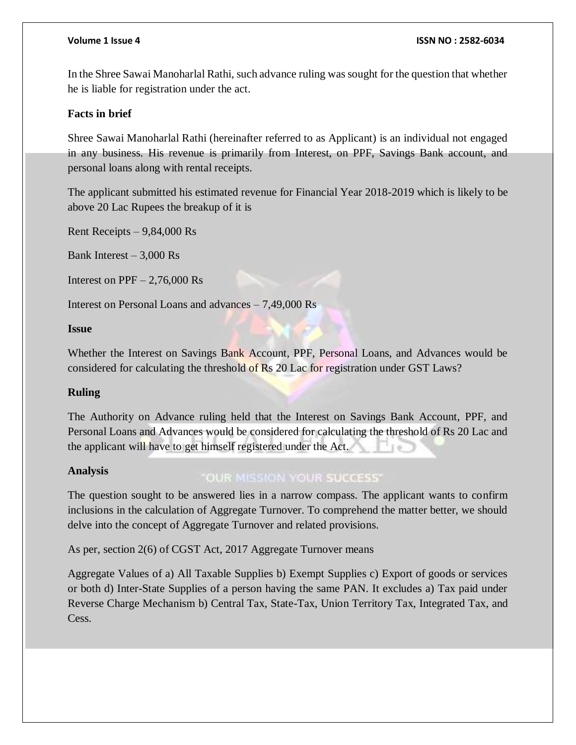In the Shree Sawai Manoharlal Rathi, such advance ruling was sought for the question that whether he is liable for registration under the act.

### **Facts in brief**

Shree Sawai Manoharlal Rathi (hereinafter referred to as Applicant) is an individual not engaged in any business. His revenue is primarily from Interest, on PPF, Savings Bank account, and personal loans along with rental receipts.

The applicant submitted his estimated revenue for Financial Year 2018-2019 which is likely to be above 20 Lac Rupees the breakup of it is

Rent Receipts – 9,84,000 Rs

Bank Interest  $-3,000$  Rs

Interest on  $PPF - 2,76,000$  Rs

Interest on Personal Loans and advances – 7,49,000 Rs

### **Issue**

Whether the Interest on Savings Bank Account, PPF, Personal Loans, and Advances would be considered for calculating the threshold of Rs 20 Lac for registration under GST Laws?

### **Ruling**

The Authority on Advance ruling held that the Interest on Savings Bank Account, PPF, and Personal Loans and Advances would be considered for calculating the threshold of Rs 20 Lac and the applicant will have to get himself registered under the Act.

### **Analysis**

### "OUR MISSION YOUR SUCCESS"

The question sought to be answered lies in a narrow compass. The applicant wants to confirm inclusions in the calculation of Aggregate Turnover. To comprehend the matter better, we should delve into the concept of Aggregate Turnover and related provisions.

As per, section 2(6) of CGST Act, 2017 Aggregate Turnover means

Aggregate Values of a) All Taxable Supplies b) Exempt Supplies c) Export of goods or services or both d) Inter-State Supplies of a person having the same PAN. It excludes a) Tax paid under Reverse Charge Mechanism b) Central Tax, State-Tax, Union Territory Tax, Integrated Tax, and Cess.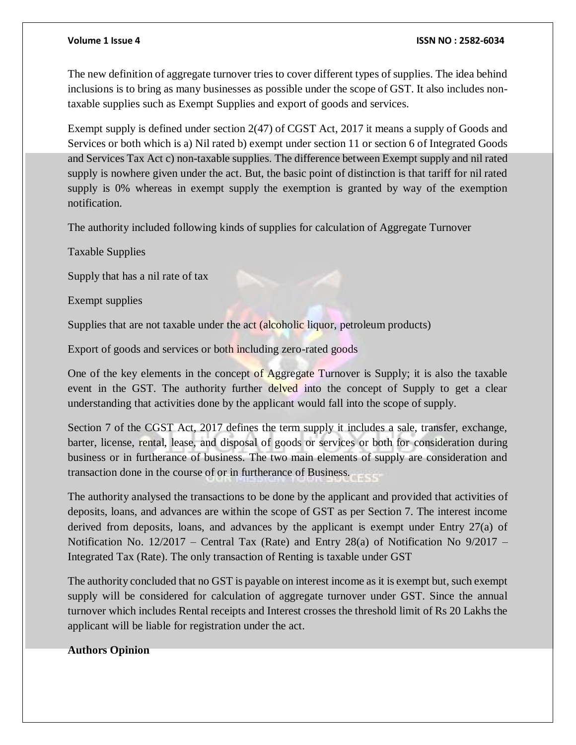### **Volume 1 Issue 4 ISSN NO : 2582-6034**

The new definition of aggregate turnover tries to cover different types of supplies. The idea behind inclusions is to bring as many businesses as possible under the scope of GST. It also includes nontaxable supplies such as Exempt Supplies and export of goods and services.

Exempt supply is defined under section 2(47) of CGST Act, 2017 it means a supply of Goods and Services or both which is a) Nil rated b) exempt under section 11 or section 6 of Integrated Goods and Services Tax Act c) non-taxable supplies. The difference between Exempt supply and nil rated supply is nowhere given under the act. But, the basic point of distinction is that tariff for nil rated supply is 0% whereas in exempt supply the exemption is granted by way of the exemption notification.

The authority included following kinds of supplies for calculation of Aggregate Turnover

Taxable Supplies

Supply that has a nil rate of tax

Exempt supplies

Supplies that are not taxable under the act (alcoholic liquor, petroleum products)

Export of goods and services or both including zero-rated goods

One of the key elements in the concept of Aggregate Turnover is Supply; it is also the taxable event in the GST. The authority further delved into the concept of Supply to get a clear understanding that activities done by the applicant would fall into the scope of supply.

Section 7 of the CGST Act, 2017 defines the term supply it includes a sale, transfer, exchange, barter, license, rental, lease, and disposal of goods or services or both for consideration during business or in furtherance of business. The two main elements of supply are consideration and transaction done in the course of or in furtherance of Business.

The authority analysed the transactions to be done by the applicant and provided that activities of deposits, loans, and advances are within the scope of GST as per Section 7. The interest income derived from deposits, loans, and advances by the applicant is exempt under Entry 27(a) of Notification No. 12/2017 – Central Tax (Rate) and Entry 28(a) of Notification No 9/2017 – Integrated Tax (Rate). The only transaction of Renting is taxable under GST

The authority concluded that no GST is payable on interest income as it is exempt but, such exempt supply will be considered for calculation of aggregate turnover under GST. Since the annual turnover which includes Rental receipts and Interest crosses the threshold limit of Rs 20 Lakhs the applicant will be liable for registration under the act.

### **Authors Opinion**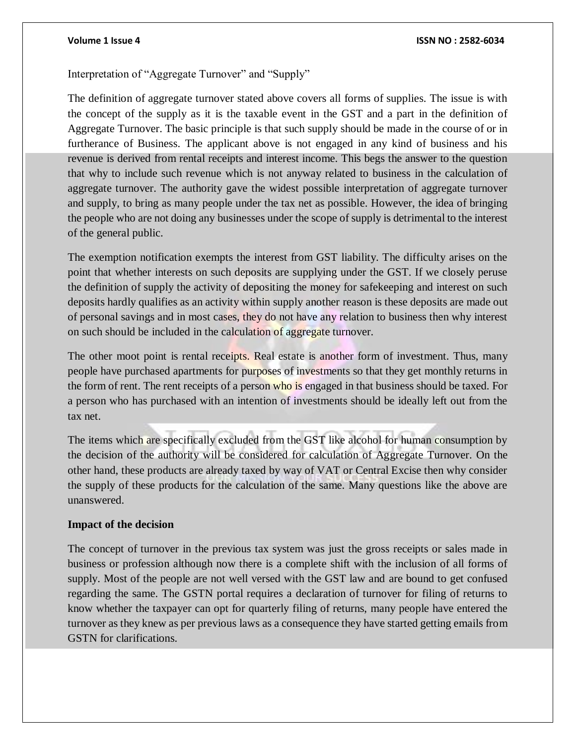### **Volume 1 Issue 4 ISSN NO : 2582-6034**

Interpretation of "Aggregate Turnover" and "Supply"

The definition of aggregate turnover stated above covers all forms of supplies. The issue is with the concept of the supply as it is the taxable event in the GST and a part in the definition of Aggregate Turnover. The basic principle is that such supply should be made in the course of or in furtherance of Business. The applicant above is not engaged in any kind of business and his revenue is derived from rental receipts and interest income. This begs the answer to the question that why to include such revenue which is not anyway related to business in the calculation of aggregate turnover. The authority gave the widest possible interpretation of aggregate turnover and supply, to bring as many people under the tax net as possible. However, the idea of bringing the people who are not doing any businesses under the scope of supply is detrimental to the interest of the general public.

The exemption notification exempts the interest from GST liability. The difficulty arises on the point that whether interests on such deposits are supplying under the GST. If we closely peruse the definition of supply the activity of depositing the money for safekeeping and interest on such deposits hardly qualifies as an activity within supply another reason is these deposits are made out of personal savings and in most cases, they do not have any relation to business then why interest on such should be included in the calculation of aggregate turnover.

The other moot point is rental receipts. Real estate is another form of investment. Thus, many people have purchased apartments for purposes of investments so that they get monthly returns in the form of rent. The rent receipts of a person who is engaged in that business should be taxed. For a person who has purchased with an intention of investments should be ideally left out from the tax net.

The items which are specifically excluded from the GST like alcohol for human consumption by the decision of the authority will be considered for calculation of Aggregate Turnover. On the other hand, these products are already taxed by way of VAT or Central Excise then why consider the supply of these products for the calculation of the same. Many questions like the above are unanswered.

### **Impact of the decision**

The concept of turnover in the previous tax system was just the gross receipts or sales made in business or profession although now there is a complete shift with the inclusion of all forms of supply. Most of the people are not well versed with the GST law and are bound to get confused regarding the same. The GSTN portal requires a declaration of turnover for filing of returns to know whether the taxpayer can opt for quarterly filing of returns, many people have entered the turnover as they knew as per previous laws as a consequence they have started getting emails from GSTN for clarifications.